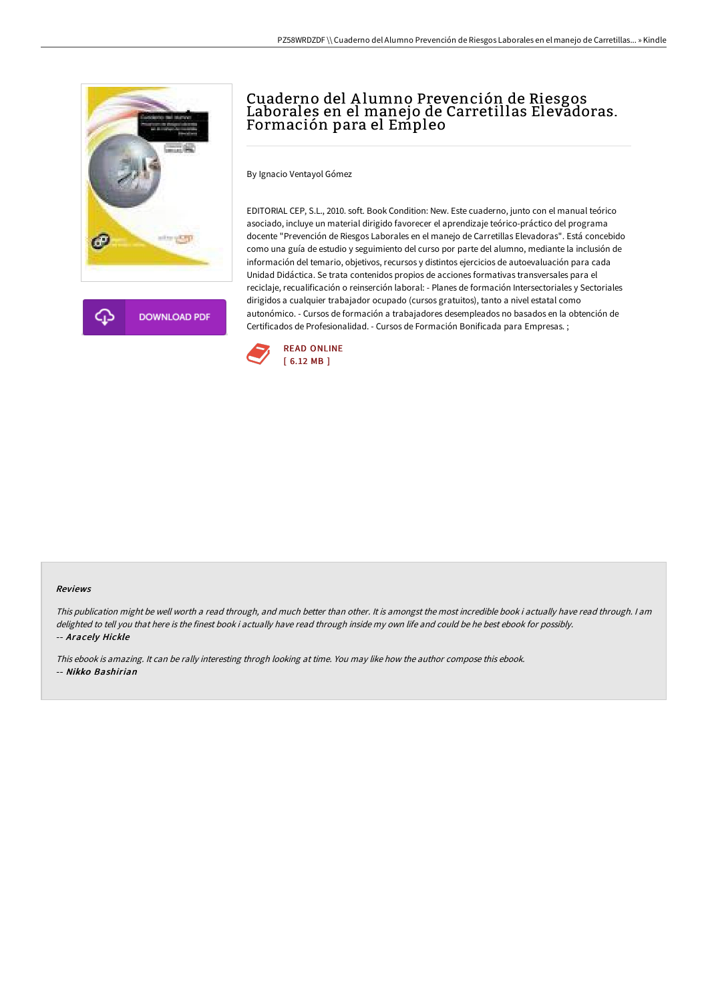



# Cuaderno del A lumno Prevención de Riesgos Laborales en el manejo de Carretillas Elevadoras. Formación para el Empleo

By Ignacio Ventayol Gómez

EDITORIAL CEP, S.L., 2010. soft. Book Condition: New. Este cuaderno, junto con el manual teórico asociado, incluye un material dirigido favorecer el aprendizaje teórico-práctico del programa docente "Prevención de Riesgos Laborales en el manejo de Carretillas Elevadoras". Está concebido como una guía de estudio y seguimiento del curso por parte del alumno, mediante la inclusión de información del temario, objetivos, recursos y distintos ejercicios de autoevaluación para cada Unidad Didáctica. Se trata contenidos propios de acciones formativas transversales para el reciclaje, recualificación o reinserción laboral: - Planes de formación Intersectoriales y Sectoriales dirigidos a cualquier trabajador ocupado (cursos gratuitos), tanto a nivel estatal como autonómico. - Cursos de formación a trabajadores desempleados no basados en la obtención de Certificados de Profesionalidad. - Cursos de Formación Bonificada para Empresas. ;



#### Reviews

This publication might be well worth <sup>a</sup> read through, and much better than other. It is amongst the most incredible book i actually have read through. I am delighted to tell you that here is the finest book i actually have read through inside my own life and could be he best ebook for possibly. -- Aracely Hickle

This ebook is amazing. It can be rally interesting throgh looking at time. You may like how the author compose this ebook. -- Nikko Bashirian